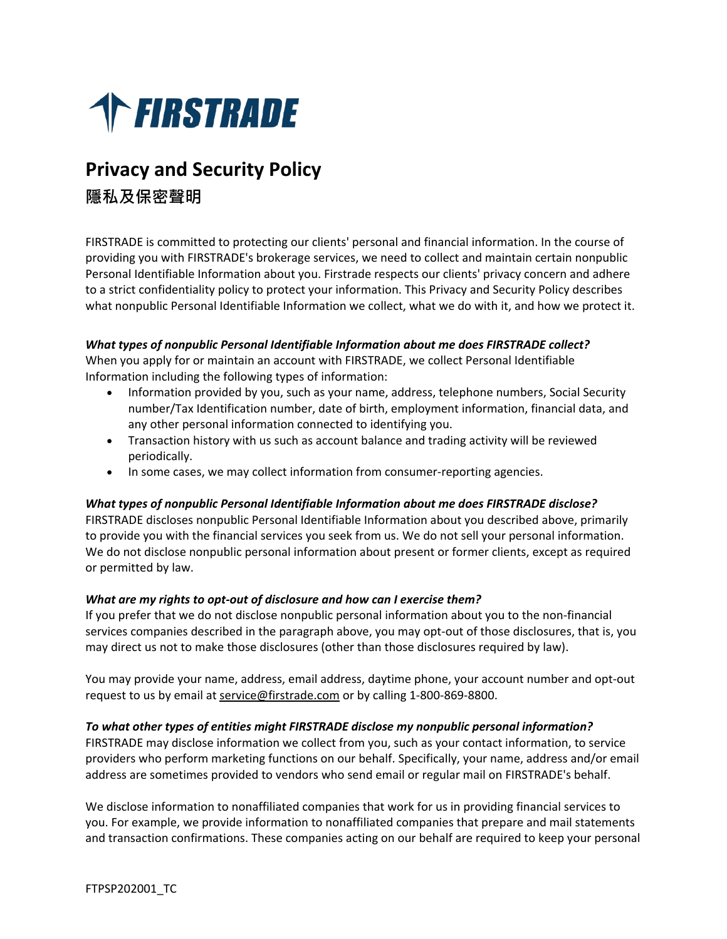

# **Privacy and Security Policy**

**隱私及保密聲明**

FIRSTRADE is committed to protecting our clients' personal and financial information. In the course of providing you with FIRSTRADE's brokerage services, we need to collect and maintain certain nonpublic Personal Identifiable Information about you. Firstrade respects our clients' privacy concern and adhere to a strict confidentiality policy to protect your information. This Privacy and Security Policy describes what nonpublic Personal Identifiable Information we collect, what we do with it, and how we protect it.

# *What types of nonpublic Personal Identifiable Information about me does FIRSTRADE collect?*

When you apply for or maintain an account with FIRSTRADE, we collect Personal Identifiable Information including the following types of information:

- Information provided by you, such as your name, address, telephone numbers, Social Security number/Tax Identification number, date of birth, employment information, financial data, and any other personal information connected to identifying you.
- Transaction history with us such as account balance and trading activity will be reviewed periodically.
- In some cases, we may collect information from consumer-reporting agencies.

# *What types of nonpublic Personal Identifiable Information about me does FIRSTRADE disclose?*

FIRSTRADE discloses nonpublic Personal Identifiable Information about you described above, primarily to provide you with the financial services you seek from us. We do not sell your personal information. We do not disclose nonpublic personal information about present or former clients, except as required or permitted by law.

# *What are my rights to opt-out of disclosure and how can I exercise them?*

If you prefer that we do not disclose nonpublic personal information about you to the non-financial services companies described in the paragraph above, you may opt-out of those disclosures, that is, you may direct us not to make those disclosures (other than those disclosures required by law).

You may provide your name, address, email address, daytime phone, your account number and opt-out request to us by email at [service@firstrade.com](mailto:service@firstrade.com) or by calling 1-800-869-8800.

# *To what other types of entities might FIRSTRADE disclose my nonpublic personal information?*

FIRSTRADE may disclose information we collect from you, such as your contact information, to service providers who perform marketing functions on our behalf. Specifically, your name, address and/or email address are sometimes provided to vendors who send email or regular mail on FIRSTRADE's behalf.

We disclose information to nonaffiliated companies that work for us in providing financial services to you. For example, we provide information to nonaffiliated companies that prepare and mail statements and transaction confirmations. These companies acting on our behalf are required to keep your personal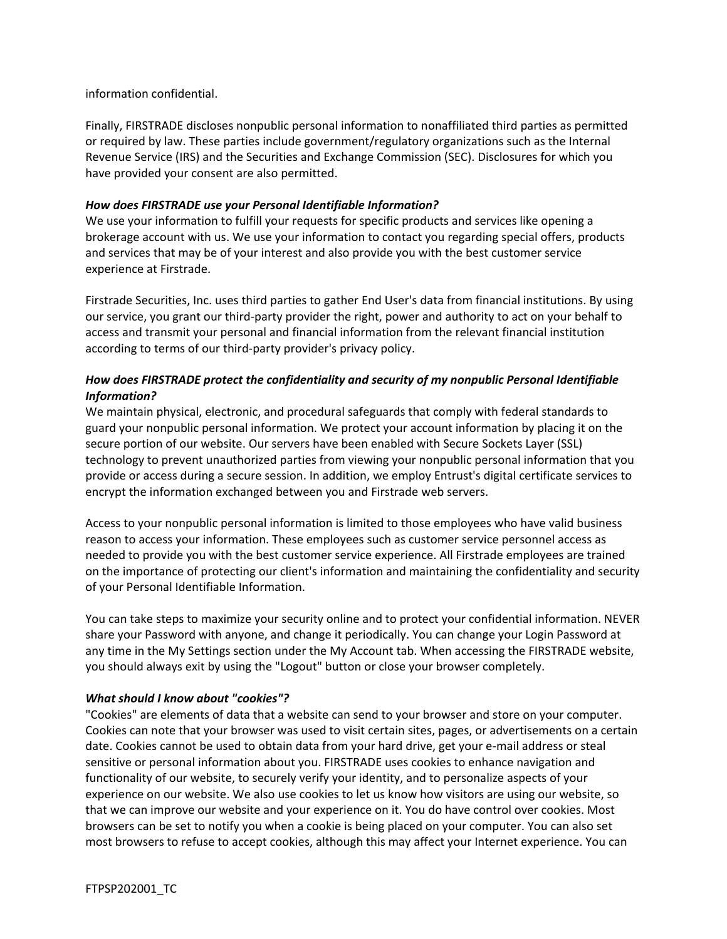information confidential.

Finally, FIRSTRADE discloses nonpublic personal information to nonaffiliated third parties as permitted or required by law. These parties include government/regulatory organizations such as the Internal Revenue Service (IRS) and the Securities and Exchange Commission (SEC). Disclosures for which you have provided your consent are also permitted.

# *How does FIRSTRADE use your Personal Identifiable Information?*

We use your information to fulfill your requests for specific products and services like opening a brokerage account with us. We use your information to contact you regarding special offers, products and services that may be of your interest and also provide you with the best customer service experience at Firstrade.

Firstrade Securities, Inc. uses third parties to gather End User's data from financial institutions. By using our service, you grant our third-party provider the right, power and authority to act on your behalf to access and transmit your personal and financial information from the relevant financial institution according to terms of our third-party provider's privacy policy.

# *How does FIRSTRADE protect the confidentiality and security of my nonpublic Personal Identifiable Information?*

We maintain physical, electronic, and procedural safeguards that comply with federal standards to guard your nonpublic personal information. We protect your account information by placing it on the secure portion of our website. Our servers have been enabled with Secure Sockets Layer (SSL) technology to prevent unauthorized parties from viewing your nonpublic personal information that you provide or access during a secure session. In addition, we employ Entrust's digital certificate services to encrypt the information exchanged between you and Firstrade web servers.

Access to your nonpublic personal information is limited to those employees who have valid business reason to access your information. These employees such as customer service personnel access as needed to provide you with the best customer service experience. All Firstrade employees are trained on the importance of protecting our client's information and maintaining the confidentiality and security of your Personal Identifiable Information.

You can take steps to maximize your security online and to protect your confidential information. NEVER share your Password with anyone, and change it periodically. You can change your Login Password at any time in the My Settings section under the My Account tab. When accessing the FIRSTRADE website, you should always exit by using the "Logout" button or close your browser completely.

# *What should I know about "cookies"?*

"Cookies" are elements of data that a website can send to your browser and store on your computer. Cookies can note that your browser was used to visit certain sites, pages, or advertisements on a certain date. Cookies cannot be used to obtain data from your hard drive, get your e-mail address or steal sensitive or personal information about you. FIRSTRADE uses cookies to enhance navigation and functionality of our website, to securely verify your identity, and to personalize aspects of your experience on our website. We also use cookies to let us know how visitors are using our website, so that we can improve our website and your experience on it. You do have control over cookies. Most browsers can be set to notify you when a cookie is being placed on your computer. You can also set most browsers to refuse to accept cookies, although this may affect your Internet experience. You can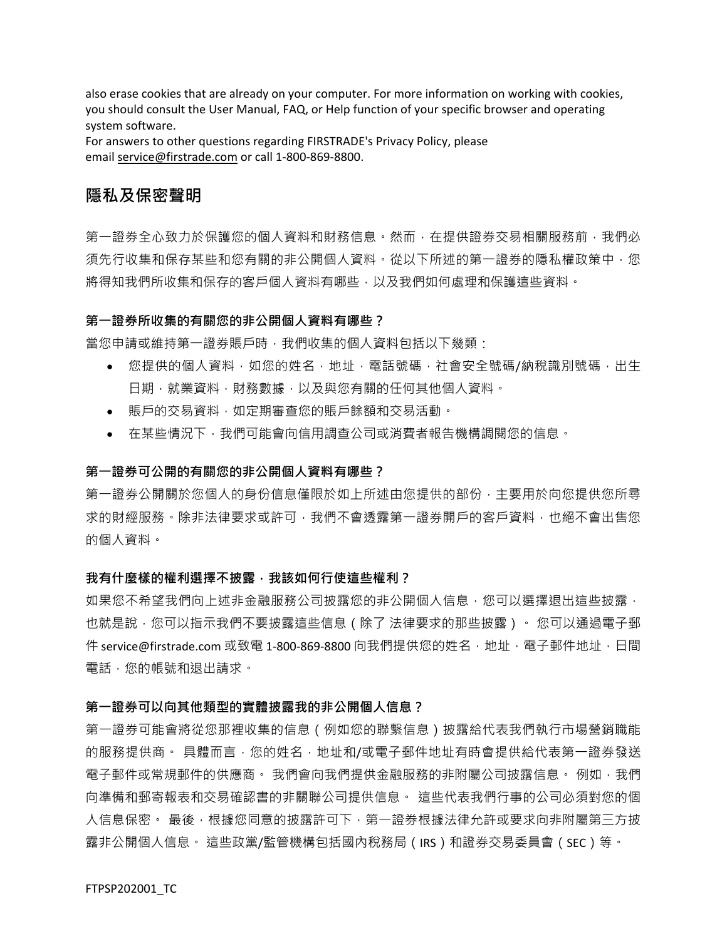also erase cookies that are already on your computer. For more information on working with cookies, you should consult the User Manual, FAQ, or Help function of your specific browser and operating system software.

For answers to other questions regarding FIRSTRADE's Privacy Policy, please email [service@firstrade.com](mailto:service@firstrade.com) or call 1-800-869-8800.

# **隱私及保密聲明**

第一證券全心致力於保護您的個人資料和財務信息。然而,在提供證券交易相關服務前,我們必 須先行收集和保存某些和您有關的非公開個人資料。從以下所述的第一證券的隱私權政策中,您 將得知我們所收集和保存的客戶個人資料有哪些,以及我們如何處理和保護這些資料。

### **第一證券所收集的有關您的非公開個人資料有哪些?**

當您申請或維持第一證券賬戶時,我們收集的個人資料包括以下幾類:

- 您提供的個人資料,如您的姓名,地址,電話號碼,社會安全號碼/納稅識別號碼,出生 日期,就業資料,財務數據,以及與您有關的任何其他個人資料。
- 賬戶的交易資料,如定期審查您的賬戶餘額和交易活動。
- 在某些情況下,我們可能會向信用調查公司或消費者報告機構調閱您的信息。

### **第一證券可公開的有關您的非公開個人資料有哪些?**

第一證券公開關於您個人的身份信息僅限於如上所述由您提供的部份,主要用於向您提供您所尋 求的財經服務。除非法律要求或許可,我們不會透露第一證券開戶的客戶資料,也絕不會出售您 的個人資料。

#### 我有什麼樣的權利選擇不披露 · 我該如何行使這些權利 ?

如果您不希望我們向上述非金融服務公司披露您的非公開個人信息,您可以選擇退出這些披露, 也就是說 · 您可以指示我們不要披露這些信息(除了 法律要求的那些披露)。 您可以通過電子郵 件 service@firstrade.com 或致電 1-800-869-8800 向我們提供您的姓名, 地址, 電子郵件地址, 日間 電話,您的帳號和退出請求。

### **第一證券可以向其他類型的實體披露我的非公開個人信息?**

第一證券可能會將從您那裡收集的信息(例如您的聯繫信息)披露給代表我們執行市場營銷職能 的服務提供商。 具體而言,您的姓名,地址和/或電子郵件地址有時會提供給代表第一證券發送 電子郵件或常規郵件的供應商。 我們會向我們提供金融服務的非附屬公司披露信息。 例如,我們 向準備和郵寄報表和交易確認書的非關聯公司提供信息。 這些代表我們行事的公司必須對您的個 人信息保密。 最後,根據您同意的披露許可下,第一證券根據法律允許或要求向非附屬第三方披 露非公開個人信息。 這些政黨/監管機構包括國內稅務局(IRS)和證券交易委員會(SEC)等。